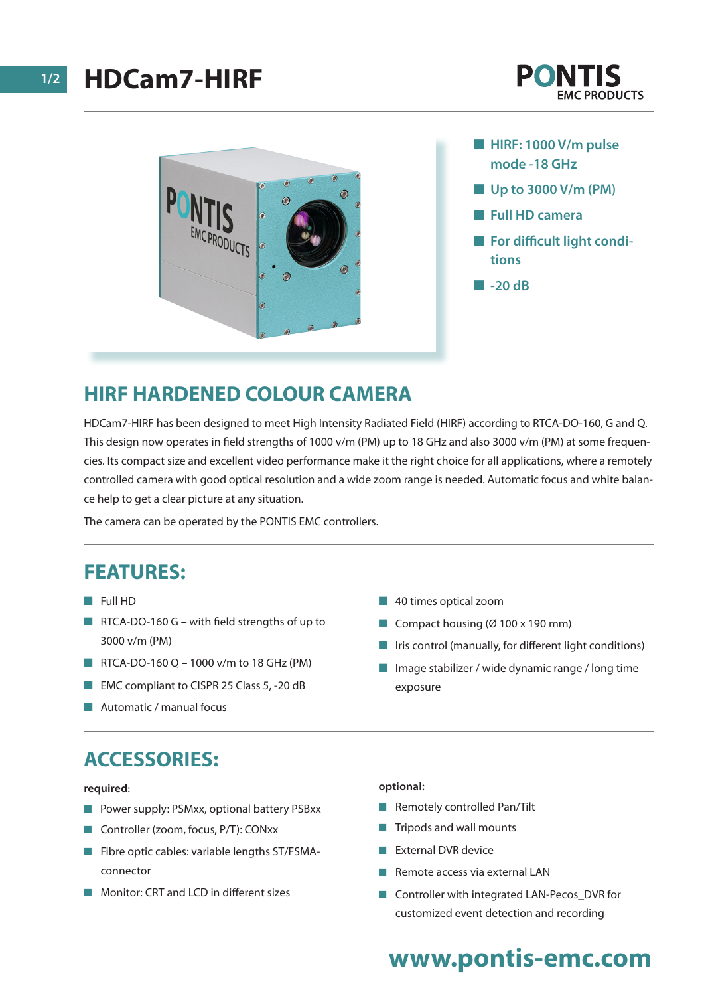



- $\blacksquare$  **HIRF: 1000 V/m pulse mode -18 GHz**
- Up to 3000 V/m (PM)
- n **Full HD camera**
- **n** For difficult light condi**tions**
- n **-20 dB**

## **HIRF HARDENED COLOUR CAMERA**

HDCam7-HIRF has been designed to meet High Intensity Radiated Field (HIRF) according to RTCA-DO-160, G and Q. This design now operates in field strengths of 1000 v/m (PM) up to 18 GHz and also 3000 v/m (PM) at some frequencies. Its compact size and excellent video performance make it the right choice for all applications, where a remotely controlled camera with good optical resolution and a wide zoom range is needed. Automatic focus and white balance help to get a clear picture at any situation.

The camera can be operated by the PONTIS EMC controllers.

### **FEATURES:**

- **n** Full HD
- $\blacksquare$  RTCA-DO-160 G with field strengths of up to 3000 v/m (PM)
- RTCA-DO-160 Q 1000 v/m to 18 GHz (PM)
- EMC compliant to CISPR 25 Class 5, -20 dB
- $\blacksquare$  Automatic / manual focus
- **n** 40 times optical zoom
- Compact housing ( $\varnothing$  100 x 190 mm)
- $\blacksquare$  Iris control (manually, for different light conditions)
- $\blacksquare$  Image stabilizer / wide dynamic range / long time exposure

## **ACCESSORIES:**

#### **required:**

- Power supply: PSMxx, optional battery PSBxx
- Controller (zoom, focus, P/T): CONxx
- $\blacksquare$  Fibre optic cables: variable lengths ST/FSMAconnector
- Monitor: CRT and LCD in different sizes

#### **optional:**

- $\blacksquare$  Remotely controlled Pan/Tilt
- $\blacksquare$  Tripods and wall mounts
- External DVR device
- Remote access via external LAN
- Controller with integrated LAN-Pecos\_DVR for customized event detection and recording

## **www.pontis-emc.com**